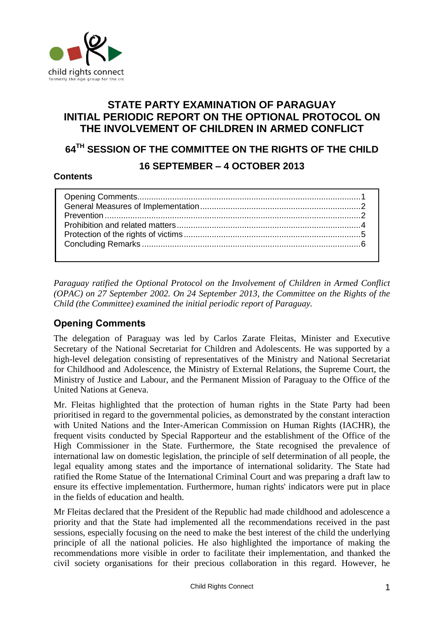

# **STATE PARTY EXAMINATION OF PARAGUAY INITIAL PERIODIC REPORT ON THE OPTIONAL PROTOCOL ON THE INVOLVEMENT OF CHILDREN IN ARMED CONFLICT**

**64TH SESSION OF THE COMMITTEE ON THE RIGHTS OF THE CHILD**

### **16 SEPTEMBER – 4 OCTOBER 2013**

### **Contents**

*Paraguay ratified the Optional Protocol on the Involvement of Children in Armed Conflict (OPAC) on 27 September 2002. On 24 September 2013, the Committee on the Rights of the Child (the Committee) examined the initial periodic report of Paraguay.* 

## <span id="page-0-0"></span>**Opening Comments**

The delegation of Paraguay was led by Carlos Zarate Fleitas, Minister and Executive Secretary of the National Secretariat for Children and Adolescents. He was supported by a high-level delegation consisting of representatives of the Ministry and National Secretariat for Childhood and Adolescence, the Ministry of External Relations, the Supreme Court, the Ministry of Justice and Labour, and the Permanent Mission of Paraguay to the Office of the United Nations at Geneva.

Mr. Fleitas highlighted that the protection of human rights in the State Party had been prioritised in regard to the governmental policies, as demonstrated by the constant interaction with United Nations and the Inter-American Commission on Human Rights (IACHR), the frequent visits conducted by Special Rapporteur and the establishment of the Office of the High Commissioner in the State. Furthermore, the State recognised the prevalence of international law on domestic legislation, the principle of self determination of all people, the legal equality among states and the importance of international solidarity. The State had ratified the Rome Statue of the International Criminal Court and was preparing a draft law to ensure its effective implementation. Furthermore, human rights' indicators were put in place in the fields of education and health.

Mr Fleitas declared that the President of the Republic had made childhood and adolescence a priority and that the State had implemented all the recommendations received in the past sessions, especially focusing on the need to make the best interest of the child the underlying principle of all the national policies. He also highlighted the importance of making the recommendations more visible in order to facilitate their implementation, and thanked the civil society organisations for their precious collaboration in this regard. However, he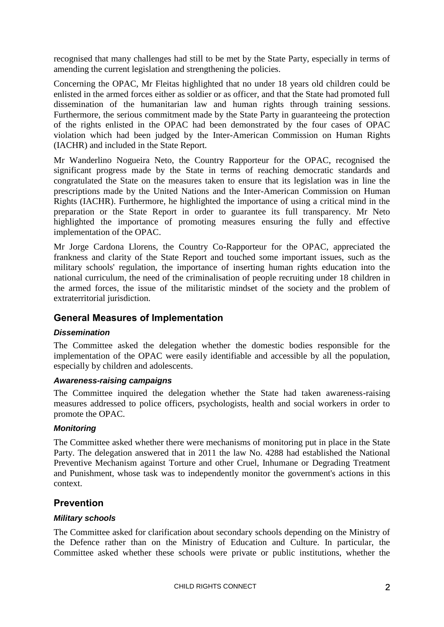recognised that many challenges had still to be met by the State Party, especially in terms of amending the current legislation and strengthening the policies.

Concerning the OPAC, Mr Fleitas highlighted that no under 18 years old children could be enlisted in the armed forces either as soldier or as officer, and that the State had promoted full dissemination of the humanitarian law and human rights through training sessions. Furthermore, the serious commitment made by the State Party in guaranteeing the protection of the rights enlisted in the OPAC had been demonstrated by the four cases of OPAC violation which had been judged by the Inter-American Commission on Human Rights (IACHR) and included in the State Report.

Mr Wanderlino Nogueira Neto, the Country Rapporteur for the OPAC, recognised the significant progress made by the State in terms of reaching democratic standards and congratulated the State on the measures taken to ensure that its legislation was in line the prescriptions made by the United Nations and the Inter-American Commission on Human Rights (IACHR). Furthermore, he highlighted the importance of using a critical mind in the preparation or the State Report in order to guarantee its full transparency. Mr Neto highlighted the importance of promoting measures ensuring the fully and effective implementation of the OPAC.

Mr Jorge Cardona Llorens, the Country Co-Rapporteur for the OPAC, appreciated the frankness and clarity of the State Report and touched some important issues, such as the military schools' regulation, the importance of inserting human rights education into the national curriculum, the need of the criminalisation of people recruiting under 18 children in the armed forces, the issue of the militaristic mindset of the society and the problem of extraterritorial jurisdiction.

## <span id="page-1-0"></span>**General Measures of Implementation**

#### *Dissemination*

The Committee asked the delegation whether the domestic bodies responsible for the implementation of the OPAC were easily identifiable and accessible by all the population, especially by children and adolescents.

#### *Awareness-raising campaigns*

The Committee inquired the delegation whether the State had taken awareness-raising measures addressed to police officers, psychologists, health and social workers in order to promote the OPAC.

#### *Monitoring*

The Committee asked whether there were mechanisms of monitoring put in place in the State Party. The delegation answered that in 2011 the law No. 4288 had established the National Preventive Mechanism against Torture and other Cruel, Inhumane or Degrading Treatment and Punishment, whose task was to independently monitor the government's actions in this context.

## **Prevention**

### *Military schools*

The Committee asked for clarification about secondary schools depending on the Ministry of the Defence rather than on the Ministry of Education and Culture. In particular, the Committee asked whether these schools were private or public institutions, whether the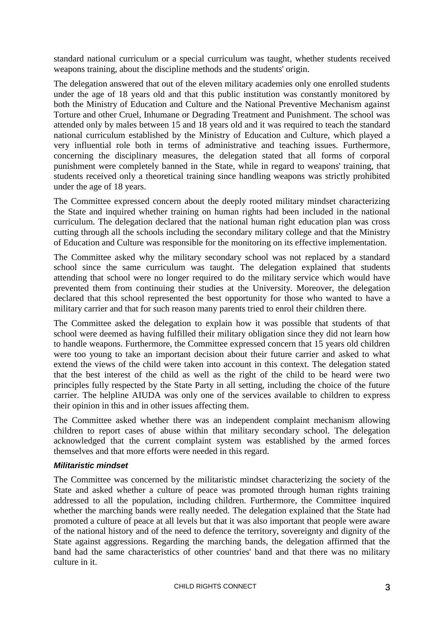standard national curriculum or a special curriculum was taught, whether students received weapons training, about the discipline methods and the students' origin.

The delegation answered that out of the eleven military academies only one enrolled students under the age of 18 years old and that this public institution was constantly monitored by both the Ministry of Education and Culture and the National Preventive Mechanism against Torture and other Cruel, Inhumane or Degrading Treatment and Punishment. The school was attended only by males between 15 and 18 years old and it was required to teach the standard national curriculum established by the Ministry of Education and Culture, which played a very influential role both in terms of administrative and teaching issues. Furthermore, concerning the disciplinary measures, the delegation stated that all forms of corporal punishment were completely banned in the State, while in regard to weapons' training, that students received only a theoretical training since handling weapons was strictly prohibited under the age of 18 years.

The Committee expressed concern about the deeply rooted military mindset characterizing the State and inquired whether training on human rights had been included in the national curriculum. The delegation declared that the national human right education plan was cross cutting through all the schools including the secondary military college and that the Ministry of Education and Culture was responsible for the monitoring on its effective implementation.

The Committee asked why the military secondary school was not replaced by a standard school since the same curriculum was taught. The delegation explained that students attending that school were no longer required to do the military service which would have prevented them from continuing their studies at the University. Moreover, the delegation declared that this school represented the best opportunity for those who wanted to have a military carrier and that for such reason many parents tried to enrol their children there.

The Committee asked the delegation to explain how it was possible that students of that school were deemed as having fulfilled their military obligation since they did not learn how to handle weapons. Furthermore, the Committee expressed concern that 15 years old children were too young to take an important decision about their future carrier and asked to what extend the views of the child were taken into account in this context. The delegation stated that the best interest of the child as well as the right of the child to be heard were two principles fully respected by the State Party in all setting, including the choice of the future carrier. The helpline AIUDA was only one of the services available to children to express their opinion in this and in other issues affecting them.

The Committee asked whether there was an independent complaint mechanism allowing children to report cases of abuse within that military secondary school. The delegation acknowledged that the current complaint system was established by the armed forces themselves and that more efforts were needed in this regard.

#### *Militaristic mindset*

The Committee was concerned by the militaristic mindset characterizing the society of the State and asked whether a culture of peace was promoted through human rights training addressed to all the population, including children. Furthermore, the Committee inquired whether the marching bands were really needed. The delegation explained that the State had promoted a culture of peace at all levels but that it was also important that people were aware of the national history and of the need to defence the territory, sovereignty and dignity of the State against aggressions. Regarding the marching bands, the delegation affirmed that the band had the same characteristics of other countries' band and that there was no military culture in it.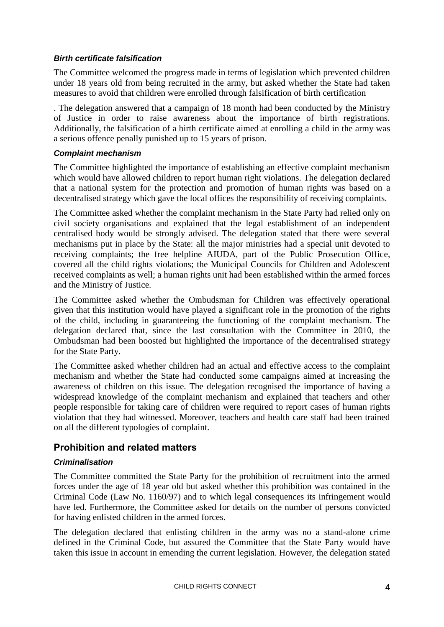#### *Birth certificate falsification*

The Committee welcomed the progress made in terms of legislation which prevented children under 18 years old from being recruited in the army, but asked whether the State had taken measures to avoid that children were enrolled through falsification of birth certification

. The delegation answered that a campaign of 18 month had been conducted by the Ministry of Justice in order to raise awareness about the importance of birth registrations. Additionally, the falsification of a birth certificate aimed at enrolling a child in the army was a serious offence penally punished up to 15 years of prison.

#### *Complaint mechanism*

The Committee highlighted the importance of establishing an effective complaint mechanism which would have allowed children to report human right violations. The delegation declared that a national system for the protection and promotion of human rights was based on a decentralised strategy which gave the local offices the responsibility of receiving complaints.

The Committee asked whether the complaint mechanism in the State Party had relied only on civil society organisations and explained that the legal establishment of an independent centralised body would be strongly advised. The delegation stated that there were several mechanisms put in place by the State: all the major ministries had a special unit devoted to receiving complaints; the free helpline AIUDA, part of the Public Prosecution Office, covered all the child rights violations; the Municipal Councils for Children and Adolescent received complaints as well; a human rights unit had been established within the armed forces and the Ministry of Justice.

The Committee asked whether the Ombudsman for Children was effectively operational given that this institution would have played a significant role in the promotion of the rights of the child, including in guaranteeing the functioning of the complaint mechanism. The delegation declared that, since the last consultation with the Committee in 2010, the Ombudsman had been boosted but highlighted the importance of the decentralised strategy for the State Party.

The Committee asked whether children had an actual and effective access to the complaint mechanism and whether the State had conducted some campaigns aimed at increasing the awareness of children on this issue. The delegation recognised the importance of having a widespread knowledge of the complaint mechanism and explained that teachers and other people responsible for taking care of children were required to report cases of human rights violation that they had witnessed. Moreover, teachers and health care staff had been trained on all the different typologies of complaint.

## **Prohibition and related matters**

### *Criminalisation*

The Committee committed the State Party for the prohibition of recruitment into the armed forces under the age of 18 year old but asked whether this prohibition was contained in the Criminal Code (Law No. 1160/97) and to which legal consequences its infringement would have led. Furthermore, the Committee asked for details on the number of persons convicted for having enlisted children in the armed forces.

The delegation declared that enlisting children in the army was no a stand-alone crime defined in the Criminal Code, but assured the Committee that the State Party would have taken this issue in account in emending the current legislation. However, the delegation stated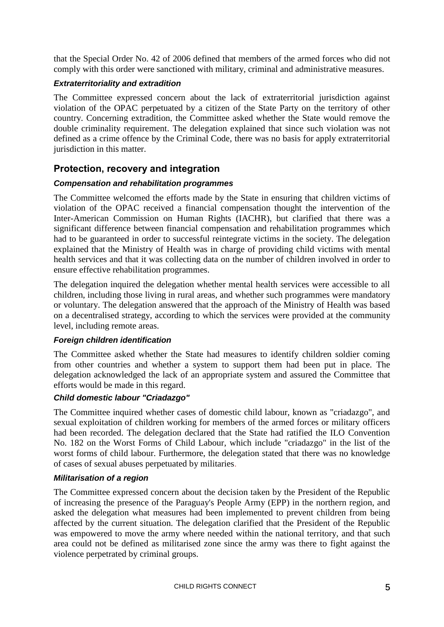that the Special Order No. 42 of 2006 defined that members of the armed forces who did not comply with this order were sanctioned with military, criminal and administrative measures.

### *Extraterritoriality and extradition*

The Committee expressed concern about the lack of extraterritorial jurisdiction against violation of the OPAC perpetuated by a citizen of the State Party on the territory of other country. Concerning extradition, the Committee asked whether the State would remove the double criminality requirement. The delegation explained that since such violation was not defined as a crime offence by the Criminal Code, there was no basis for apply extraterritorial jurisdiction in this matter.

## **Protection, recovery and integration**

#### *Compensation and rehabilitation programmes*

The Committee welcomed the efforts made by the State in ensuring that children victims of violation of the OPAC received a financial compensation thought the intervention of the Inter-American Commission on Human Rights (IACHR), but clarified that there was a significant difference between financial compensation and rehabilitation programmes which had to be guaranteed in order to successful reintegrate victims in the society. The delegation explained that the Ministry of Health was in charge of providing child victims with mental health services and that it was collecting data on the number of children involved in order to ensure effective rehabilitation programmes.

The delegation inquired the delegation whether mental health services were accessible to all children, including those living in rural areas, and whether such programmes were mandatory or voluntary. The delegation answered that the approach of the Ministry of Health was based on a decentralised strategy, according to which the services were provided at the community level, including remote areas.

#### *Foreign children identification*

The Committee asked whether the State had measures to identify children soldier coming from other countries and whether a system to support them had been put in place. The delegation acknowledged the lack of an appropriate system and assured the Committee that efforts would be made in this regard.

#### *Child domestic labour "Criadazgo"*

The Committee inquired whether cases of domestic child labour, known as "criadazgo", and sexual exploitation of children working for members of the armed forces or military officers had been recorded. The delegation declared that the State had ratified the ILO Convention No. 182 on the Worst Forms of Child Labour, which include "criadazgo" in the list of the worst forms of child labour. Furthermore, the delegation stated that there was no knowledge of cases of sexual abuses perpetuated by militaries.

#### *Militarisation of a region*

The Committee expressed concern about the decision taken by the President of the Republic of increasing the presence of the Paraguay's People Army (EPP) in the northern region, and asked the delegation what measures had been implemented to prevent children from being affected by the current situation. The delegation clarified that the President of the Republic was empowered to move the army where needed within the national territory, and that such area could not be defined as militarised zone since the army was there to fight against the violence perpetrated by criminal groups.